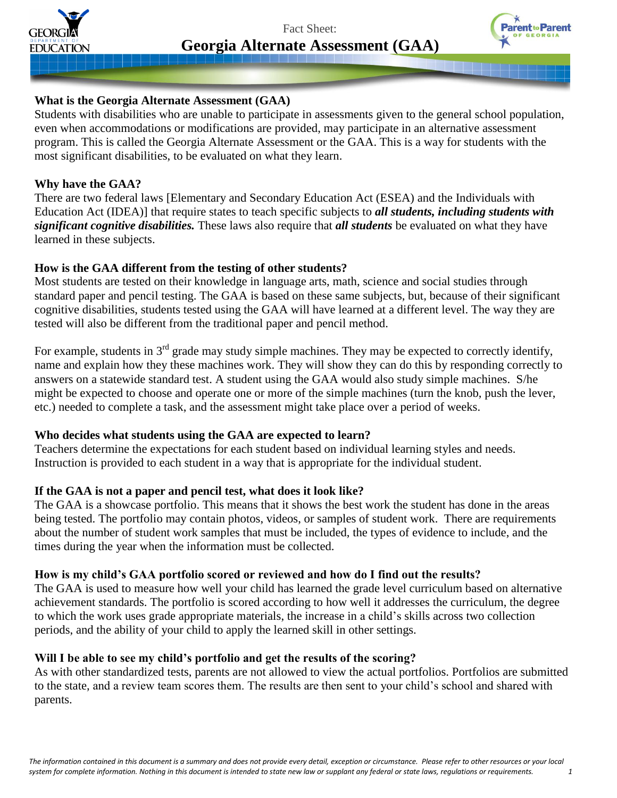

Fact Sheet: **Georgia Alternate Assessment (GAA)**



# **What is the Georgia Alternate Assessment (GAA)**

Students with disabilities who are unable to participate in assessments given to the general school population, even when accommodations or modifications are provided, may participate in an alternative assessment program. This is called the Georgia Alternate Assessment or the GAA. This is a way for students with the most significant disabilities, to be evaluated on what they learn.

## **Why have the GAA?**

There are two federal laws [Elementary and Secondary Education Act (ESEA) and the Individuals with Education Act (IDEA)] that require states to teach specific subjects to *all students, including students with significant cognitive disabilities.* These laws also require that *all students* be evaluated on what they have learned in these subjects.

# **How is the GAA different from the testing of other students?**

Most students are tested on their knowledge in language arts, math, science and social studies through standard paper and pencil testing. The GAA is based on these same subjects, but, because of their significant cognitive disabilities, students tested using the GAA will have learned at a different level. The way they are tested will also be different from the traditional paper and pencil method.

For example, students in  $3<sup>rd</sup>$  grade may study simple machines. They may be expected to correctly identify, name and explain how they these machines work. They will show they can do this by responding correctly to answers on a statewide standard test. A student using the GAA would also study simple machines. S/he might be expected to choose and operate one or more of the simple machines (turn the knob, push the lever, etc.) needed to complete a task, and the assessment might take place over a period of weeks.

# **Who decides what students using the GAA are expected to learn?**

Teachers determine the expectations for each student based on individual learning styles and needs. Instruction is provided to each student in a way that is appropriate for the individual student.

# **If the GAA is not a paper and pencil test, what does it look like?**

The GAA is a showcase portfolio. This means that it shows the best work the student has done in the areas being tested. The portfolio may contain photos, videos, or samples of student work. There are requirements about the number of student work samples that must be included, the types of evidence to include, and the times during the year when the information must be collected.

# **How is my child's GAA portfolio scored or reviewed and how do I find out the results?**

The GAA is used to measure how well your child has learned the grade level curriculum based on alternative achievement standards. The portfolio is scored according to how well it addresses the curriculum, the degree to which the work uses grade appropriate materials, the increase in a child's skills across two collection periods, and the ability of your child to apply the learned skill in other settings.

# **Will I be able to see my child's portfolio and get the results of the scoring?**

As with other standardized tests, parents are not allowed to view the actual portfolios. Portfolios are submitted to the state, and a review team scores them. The results are then sent to your child's school and shared with parents.